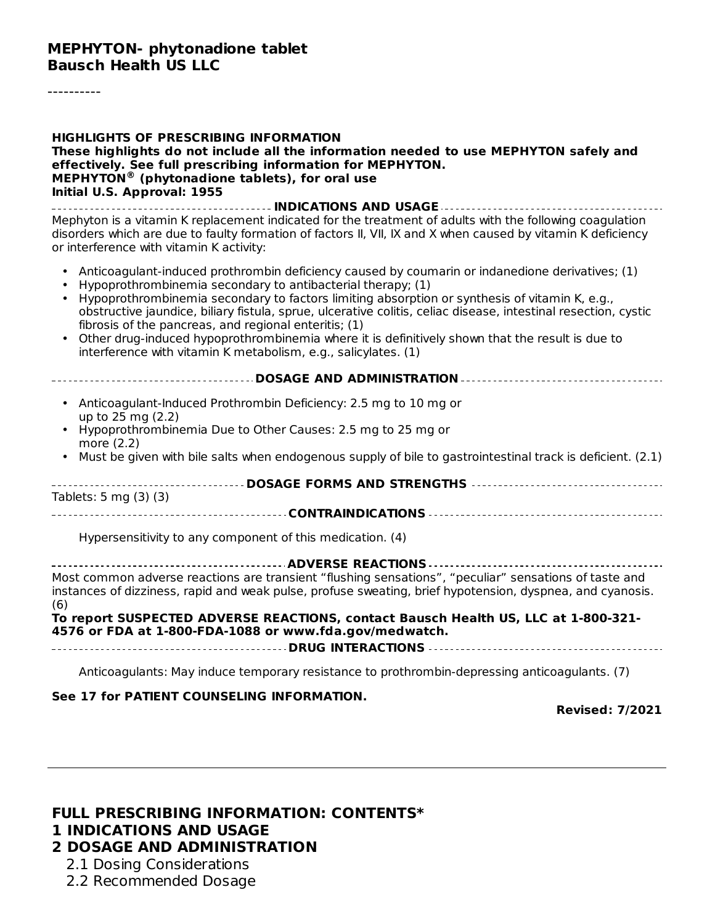----------

| <b>HIGHLIGHTS OF PRESCRIBING INFORMATION</b><br>These highlights do not include all the information needed to use MEPHYTON safely and<br>effectively. See full prescribing information for MEPHYTON.<br>MEPHYTON <sup>®</sup> (phytonadione tablets), for oral use<br>Initial U.S. Approval: 1955                                                                                                                                                                                                                                                                                                                            |
|------------------------------------------------------------------------------------------------------------------------------------------------------------------------------------------------------------------------------------------------------------------------------------------------------------------------------------------------------------------------------------------------------------------------------------------------------------------------------------------------------------------------------------------------------------------------------------------------------------------------------|
| Mephyton is a vitamin K replacement indicated for the treatment of adults with the following coagulation<br>disorders which are due to faulty formation of factors II, VII, IX and X when caused by vitamin K deficiency<br>or interference with vitamin K activity:                                                                                                                                                                                                                                                                                                                                                         |
| Anticoagulant-induced prothrombin deficiency caused by coumarin or indanedione derivatives; (1)<br>$\bullet$<br>Hypoprothrombinemia secondary to antibacterial therapy; (1)<br>Hypoprothrombinemia secondary to factors limiting absorption or synthesis of vitamin K, e.g.,<br>obstructive jaundice, biliary fistula, sprue, ulcerative colitis, celiac disease, intestinal resection, cystic<br>fibrosis of the pancreas, and regional enteritis; (1)<br>Other drug-induced hypoprothrombinemia where it is definitively shown that the result is due to<br>interference with vitamin K metabolism, e.g., salicylates. (1) |
| ------------------------------- DOSAGE AND ADMINISTRATION ----------------------------------                                                                                                                                                                                                                                                                                                                                                                                                                                                                                                                                 |
| • Anticoagulant-Induced Prothrombin Deficiency: 2.5 mg to 10 mg or<br>up to 25 mg (2.2)<br>• Hypoprothrombinemia Due to Other Causes: 2.5 mg to 25 mg or                                                                                                                                                                                                                                                                                                                                                                                                                                                                     |
| more (2.2)<br>• Must be given with bile salts when endogenous supply of bile to gastrointestinal track is deficient. (2.1)                                                                                                                                                                                                                                                                                                                                                                                                                                                                                                   |
| ---------------------------- DOSAGE FORMS AND STRENGTHS -----------------------------------                                                                                                                                                                                                                                                                                                                                                                                                                                                                                                                                  |
| Tablets: 5 mg (3) (3)                                                                                                                                                                                                                                                                                                                                                                                                                                                                                                                                                                                                        |
| Hypersensitivity to any component of this medication. (4)                                                                                                                                                                                                                                                                                                                                                                                                                                                                                                                                                                    |
| Most common adverse reactions are transient "flushing sensations", "peculiar" sensations of taste and<br>instances of dizziness, rapid and weak pulse, profuse sweating, brief hypotension, dyspnea, and cyanosis.<br>(6)                                                                                                                                                                                                                                                                                                                                                                                                    |
| To report SUSPECTED ADVERSE REACTIONS, contact Bausch Health US, LLC at 1-800-321-<br>4576 or FDA at 1-800-FDA-1088 or www.fda.gov/medwatch.                                                                                                                                                                                                                                                                                                                                                                                                                                                                                 |
| Anticoagulants: May induce temporary resistance to prothrombin-depressing anticoagulants. (7)                                                                                                                                                                                                                                                                                                                                                                                                                                                                                                                                |
| See 17 for PATIENT COUNSELING INFORMATION.<br><b>Revised: 7/2021</b>                                                                                                                                                                                                                                                                                                                                                                                                                                                                                                                                                         |

#### **FULL PRESCRIBING INFORMATION: CONTENTS\* 1 INDICATIONS AND USAGE 2 DOSAGE AND ADMINISTRATION**

- 2.1 Dosing Considerations
- 2.2 Recommended Dosage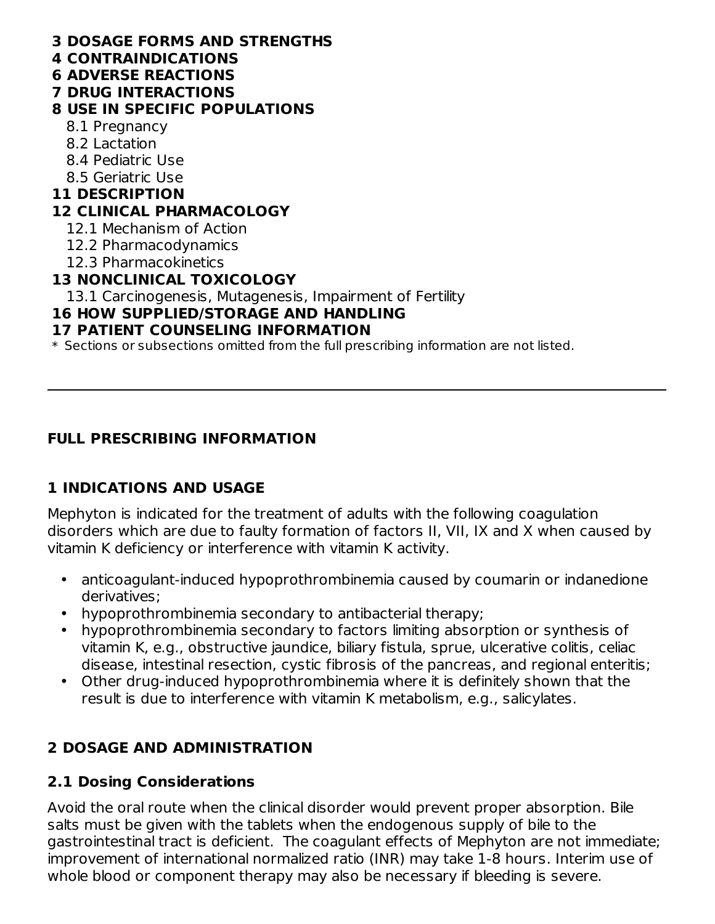#### **3 DOSAGE FORMS AND STRENGTHS**

- **4 CONTRAINDICATIONS**
- **6 ADVERSE REACTIONS**

## **7 DRUG INTERACTIONS**

### **8 USE IN SPECIFIC POPULATIONS**

- 8.1 Pregnancy
- 8.2 Lactation
- 8.4 Pediatric Use
- 8.5 Geriatric Use

### **11 DESCRIPTION**

### **12 CLINICAL PHARMACOLOGY**

- 12.1 Mechanism of Action
- 12.2 Pharmacodynamics
- 12.3 Pharmacokinetics

## **13 NONCLINICAL TOXICOLOGY**

13.1 Carcinogenesis, Mutagenesis, Impairment of Fertility

### **16 HOW SUPPLIED/STORAGE AND HANDLING**

## **17 PATIENT COUNSELING INFORMATION**

\* Sections or subsections omitted from the full prescribing information are not listed.

## **FULL PRESCRIBING INFORMATION**

# **1 INDICATIONS AND USAGE**

Mephyton is indicated for the treatment of adults with the following coagulation disorders which are due to faulty formation of factors II, VII, IX and X when caused by vitamin K deficiency or interference with vitamin K activity.

- $\bullet$ anticoagulant-induced hypoprothrombinemia caused by coumarin or indanedione derivatives;
- hypoprothrombinemia secondary to antibacterial therapy;
- hypoprothrombinemia secondary to factors limiting absorption or synthesis of vitamin K, e.g., obstructive jaundice, biliary fistula, sprue, ulcerative colitis, celiac disease, intestinal resection, cystic fibrosis of the pancreas, and regional enteritis;
- Other drug-induced hypoprothrombinemia where it is definitely shown that the result is due to interference with vitamin K metabolism, e.g., salicylates.

# **2 DOSAGE AND ADMINISTRATION**

## **2.1 Dosing Considerations**

Avoid the oral route when the clinical disorder would prevent proper absorption. Bile salts must be given with the tablets when the endogenous supply of bile to the gastrointestinal tract is deficient. The coagulant effects of Mephyton are not immediate; improvement of international normalized ratio (INR) may take 1-8 hours. Interim use of whole blood or component therapy may also be necessary if bleeding is severe.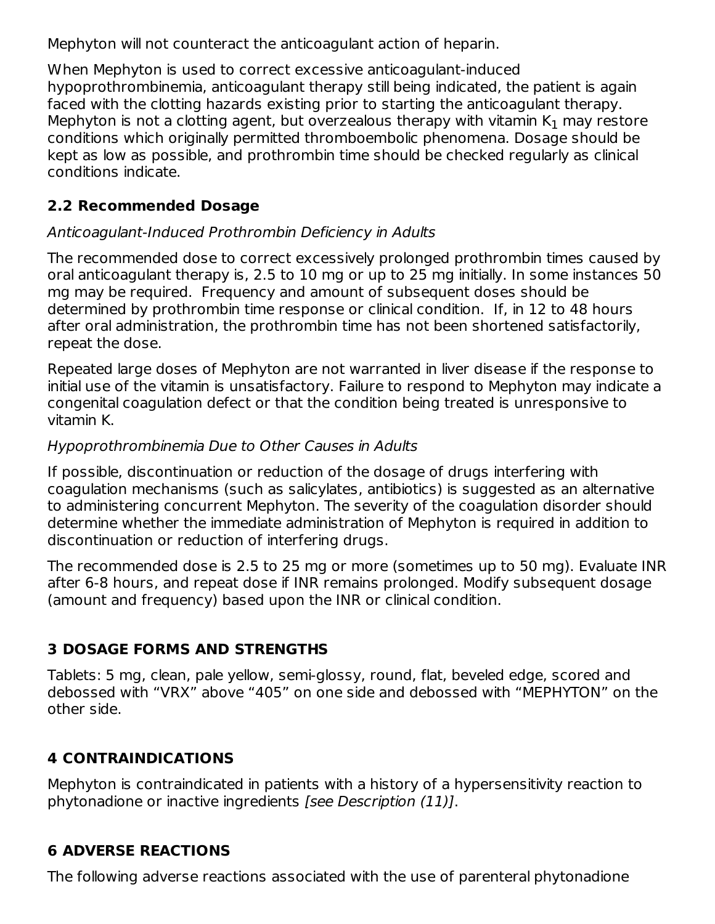Mephyton will not counteract the anticoagulant action of heparin.

When Mephyton is used to correct excessive anticoagulant-induced hypoprothrombinemia, anticoagulant therapy still being indicated, the patient is again faced with the clotting hazards existing prior to starting the anticoagulant therapy. Mephyton is not a clotting agent, but overzealous therapy with vitamin  $\mathsf{K}_1$  may restore conditions which originally permitted thromboembolic phenomena. Dosage should be kept as low as possible, and prothrombin time should be checked regularly as clinical conditions indicate.

## **2.2 Recommended Dosage**

## Anticoagulant-Induced Prothrombin Deficiency in Adults

The recommended dose to correct excessively prolonged prothrombin times caused by oral anticoagulant therapy is, 2.5 to 10 mg or up to 25 mg initially. In some instances 50 mg may be required. Frequency and amount of subsequent doses should be determined by prothrombin time response or clinical condition. If, in 12 to 48 hours after oral administration, the prothrombin time has not been shortened satisfactorily, repeat the dose.

Repeated large doses of Mephyton are not warranted in liver disease if the response to initial use of the vitamin is unsatisfactory. Failure to respond to Mephyton may indicate a congenital coagulation defect or that the condition being treated is unresponsive to vitamin K.

## Hypoprothrombinemia Due to Other Causes in Adults

If possible, discontinuation or reduction of the dosage of drugs interfering with coagulation mechanisms (such as salicylates, antibiotics) is suggested as an alternative to administering concurrent Mephyton. The severity of the coagulation disorder should determine whether the immediate administration of Mephyton is required in addition to discontinuation or reduction of interfering drugs.

The recommended dose is 2.5 to 25 mg or more (sometimes up to 50 mg). Evaluate INR after 6-8 hours, and repeat dose if INR remains prolonged. Modify subsequent dosage (amount and frequency) based upon the INR or clinical condition.

# **3 DOSAGE FORMS AND STRENGTHS**

Tablets: 5 mg, clean, pale yellow, semi-glossy, round, flat, beveled edge, scored and debossed with "VRX" above "405" on one side and debossed with "MEPHYTON" on the other side.

# **4 CONTRAINDICATIONS**

Mephyton is contraindicated in patients with a history of a hypersensitivity reaction to phytonadione or inactive ingredients [see Description (11)].

# **6 ADVERSE REACTIONS**

The following adverse reactions associated with the use of parenteral phytonadione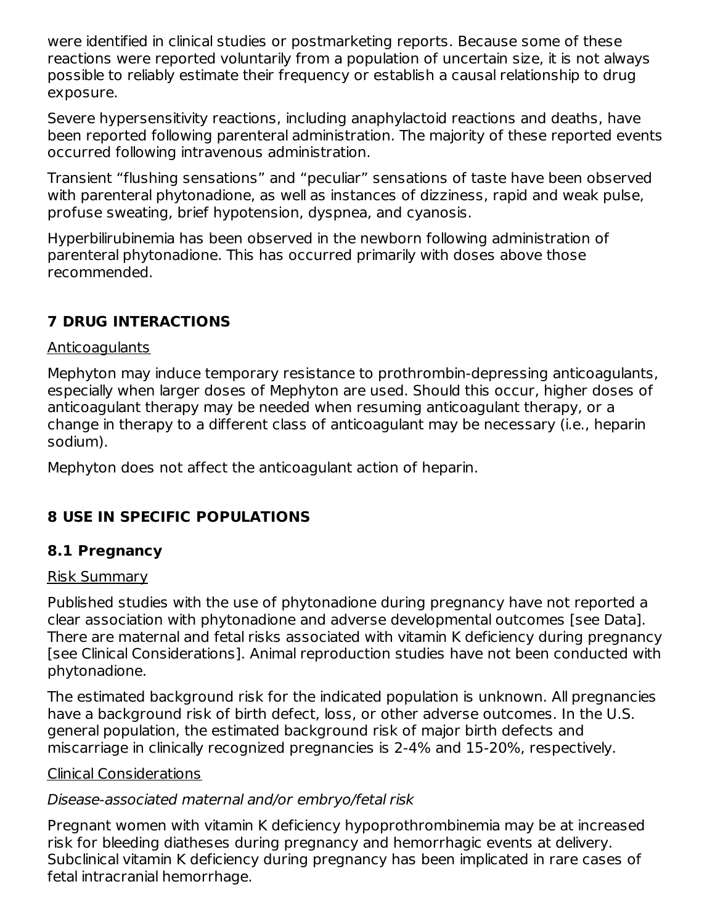were identified in clinical studies or postmarketing reports. Because some of these reactions were reported voluntarily from a population of uncertain size, it is not always possible to reliably estimate their frequency or establish a causal relationship to drug exposure.

Severe hypersensitivity reactions, including anaphylactoid reactions and deaths, have been reported following parenteral administration. The majority of these reported events occurred following intravenous administration.

Transient "flushing sensations" and "peculiar" sensations of taste have been observed with parenteral phytonadione, as well as instances of dizziness, rapid and weak pulse, profuse sweating, brief hypotension, dyspnea, and cyanosis.

Hyperbilirubinemia has been observed in the newborn following administration of parenteral phytonadione. This has occurred primarily with doses above those recommended.

# **7 DRUG INTERACTIONS**

#### Anticoagulants

Mephyton may induce temporary resistance to prothrombin-depressing anticoagulants, especially when larger doses of Mephyton are used. Should this occur, higher doses of anticoagulant therapy may be needed when resuming anticoagulant therapy, or a change in therapy to a different class of anticoagulant may be necessary (i.e., heparin sodium).

Mephyton does not affect the anticoagulant action of heparin.

# **8 USE IN SPECIFIC POPULATIONS**

# **8.1 Pregnancy**

#### Risk Summary

Published studies with the use of phytonadione during pregnancy have not reported a clear association with phytonadione and adverse developmental outcomes [see Data]. There are maternal and fetal risks associated with vitamin K deficiency during pregnancy [see Clinical Considerations]. Animal reproduction studies have not been conducted with phytonadione.

The estimated background risk for the indicated population is unknown. All pregnancies have a background risk of birth defect, loss, or other adverse outcomes. In the U.S. general population, the estimated background risk of major birth defects and miscarriage in clinically recognized pregnancies is 2-4% and 15-20%, respectively.

#### Clinical Considerations

## Disease-associated maternal and/or embryo/fetal risk

Pregnant women with vitamin K deficiency hypoprothrombinemia may be at increased risk for bleeding diatheses during pregnancy and hemorrhagic events at delivery. Subclinical vitamin K deficiency during pregnancy has been implicated in rare cases of fetal intracranial hemorrhage.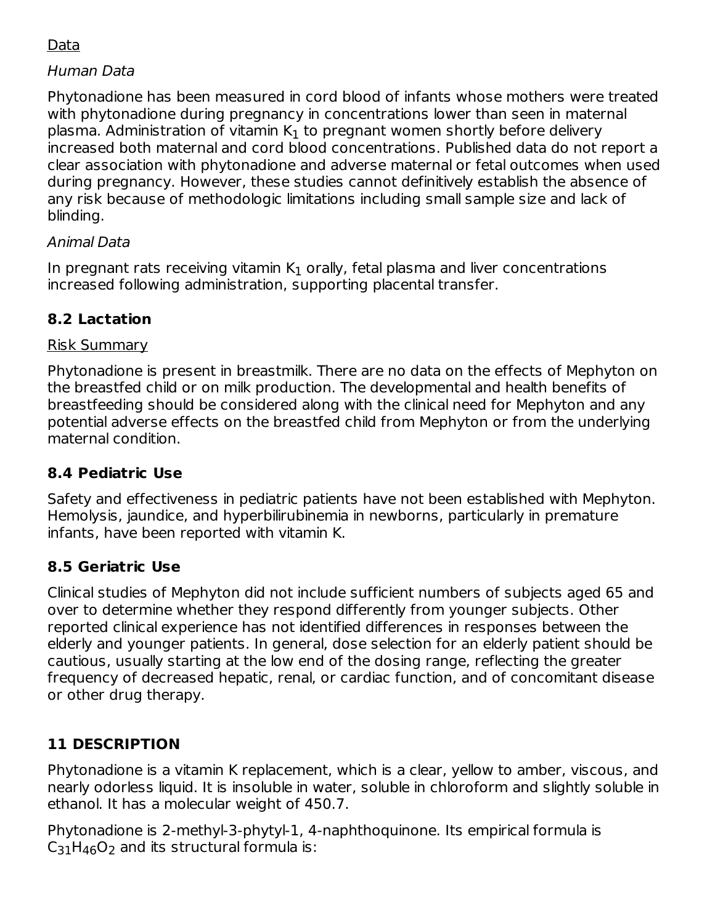## Data

### Human Data

Phytonadione has been measured in cord blood of infants whose mothers were treated with phytonadione during pregnancy in concentrations lower than seen in maternal plasma. Administration of vitamin  $\mathsf{K}_1$  to pregnant women shortly before delivery increased both maternal and cord blood concentrations. Published data do not report a clear association with phytonadione and adverse maternal or fetal outcomes when used during pregnancy. However, these studies cannot definitively establish the absence of any risk because of methodologic limitations including small sample size and lack of blinding.

## Animal Data

In pregnant rats receiving vitamin  $\mathsf{K}_1$  orally, fetal plasma and liver concentrations increased following administration, supporting placental transfer.

## **8.2 Lactation**

#### Risk Summary

Phytonadione is present in breastmilk. There are no data on the effects of Mephyton on the breastfed child or on milk production. The developmental and health benefits of breastfeeding should be considered along with the clinical need for Mephyton and any potential adverse effects on the breastfed child from Mephyton or from the underlying maternal condition.

## **8.4 Pediatric Use**

Safety and effectiveness in pediatric patients have not been established with Mephyton. Hemolysis, jaundice, and hyperbilirubinemia in newborns, particularly in premature infants, have been reported with vitamin K.

#### **8.5 Geriatric Use**

Clinical studies of Mephyton did not include sufficient numbers of subjects aged 65 and over to determine whether they respond differently from younger subjects. Other reported clinical experience has not identified differences in responses between the elderly and younger patients. In general, dose selection for an elderly patient should be cautious, usually starting at the low end of the dosing range, reflecting the greater frequency of decreased hepatic, renal, or cardiac function, and of concomitant disease or other drug therapy.

# **11 DESCRIPTION**

Phytonadione is a vitamin K replacement, which is a clear, yellow to amber, viscous, and nearly odorless liquid. It is insoluble in water, soluble in chloroform and slightly soluble in ethanol. It has a molecular weight of 450.7.

Phytonadione is 2-methyl-3-phytyl-1, 4-naphthoquinone. Its empirical formula is  $C_{31}H_{46}O_2$  and its structural formula is: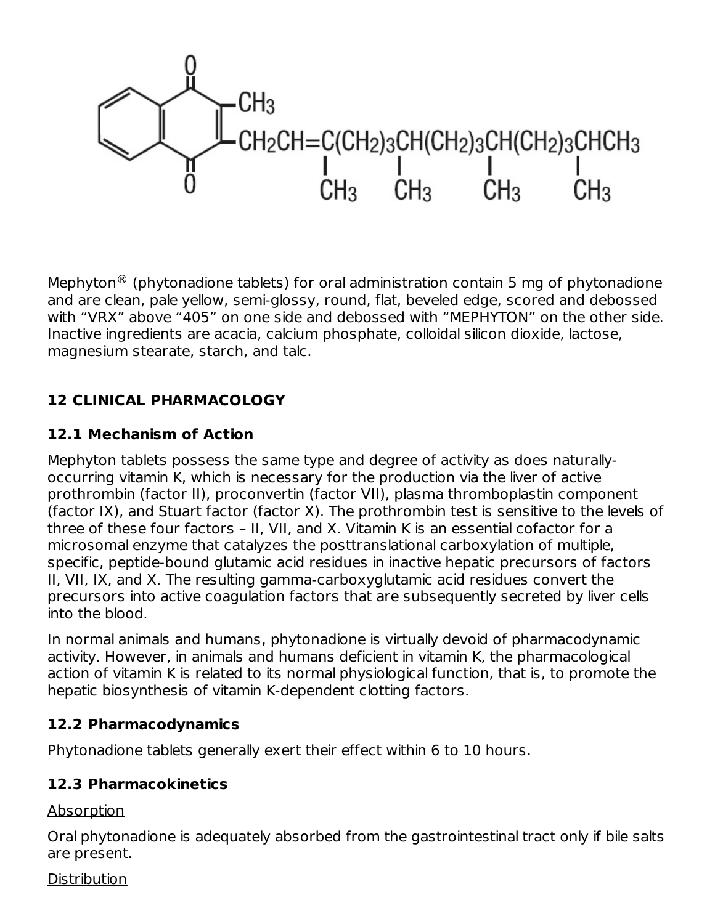

Mephyton $^{\circledR}$  (phytonadione tablets) for oral administration contain 5 mg of phytonadione and are clean, pale yellow, semi-glossy, round, flat, beveled edge, scored and debossed with "VRX" above "405" on one side and debossed with "MEPHYTON" on the other side. Inactive ingredients are acacia, calcium phosphate, colloidal silicon dioxide, lactose, magnesium stearate, starch, and talc.

## **12 CLINICAL PHARMACOLOGY**

### **12.1 Mechanism of Action**

Mephyton tablets possess the same type and degree of activity as does naturallyoccurring vitamin K, which is necessary for the production via the liver of active prothrombin (factor II), proconvertin (factor VII), plasma thromboplastin component (factor IX), and Stuart factor (factor X). The prothrombin test is sensitive to the levels of three of these four factors – II, VII, and X. Vitamin K is an essential cofactor for a microsomal enzyme that catalyzes the posttranslational carboxylation of multiple, specific, peptide-bound glutamic acid residues in inactive hepatic precursors of factors II, VII, IX, and X. The resulting gamma-carboxyglutamic acid residues convert the precursors into active coagulation factors that are subsequently secreted by liver cells into the blood.

In normal animals and humans, phytonadione is virtually devoid of pharmacodynamic activity. However, in animals and humans deficient in vitamin K, the pharmacological action of vitamin K is related to its normal physiological function, that is, to promote the hepatic biosynthesis of vitamin K-dependent clotting factors.

#### **12.2 Pharmacodynamics**

Phytonadione tablets generally exert their effect within 6 to 10 hours.

## **12.3 Pharmacokinetics**

Absorption

Oral phytonadione is adequately absorbed from the gastrointestinal tract only if bile salts are present.

**Distribution**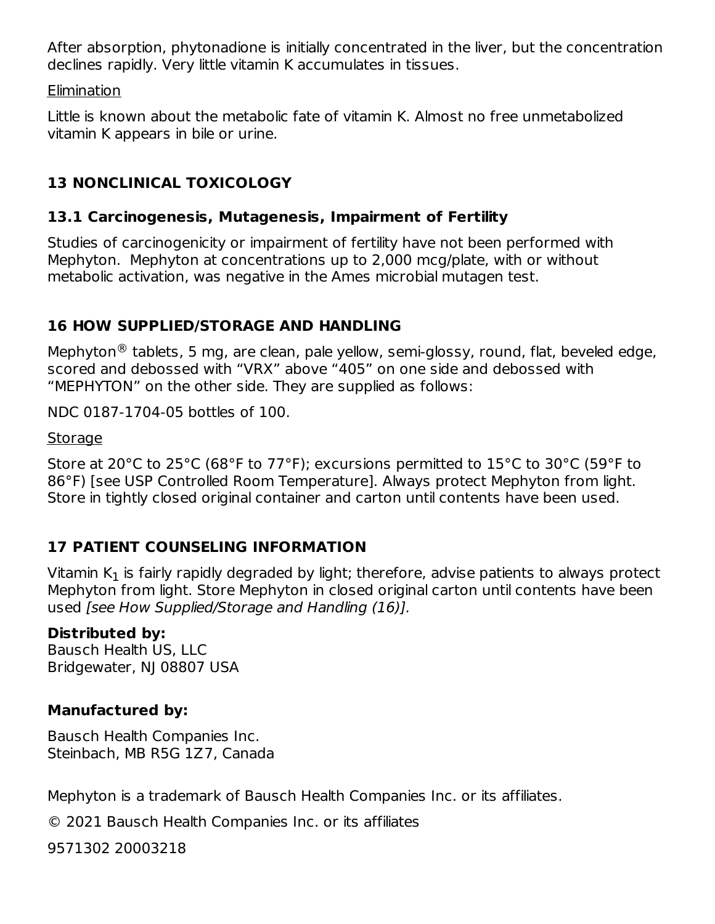After absorption, phytonadione is initially concentrated in the liver, but the concentration declines rapidly. Very little vitamin K accumulates in tissues.

**Elimination** 

Little is known about the metabolic fate of vitamin K. Almost no free unmetabolized vitamin K appears in bile or urine.

# **13 NONCLINICAL TOXICOLOGY**

## **13.1 Carcinogenesis, Mutagenesis, Impairment of Fertility**

Studies of carcinogenicity or impairment of fertility have not been performed with Mephyton. Mephyton at concentrations up to 2,000 mcg/plate, with or without metabolic activation, was negative in the Ames microbial mutagen test.

## **16 HOW SUPPLIED/STORAGE AND HANDLING**

Mephyton $^{\circledR}$  tablets, 5 mg, are clean, pale yellow, semi-glossy, round, flat, beveled edge, scored and debossed with "VRX" above "405" on one side and debossed with "MEPHYTON" on the other side. They are supplied as follows:

NDC 0187-1704-05 bottles of 100.

#### Storage

Store at 20°C to 25°C (68°F to 77°F); excursions permitted to 15°C to 30°C (59°F to 86°F) [see USP Controlled Room Temperature]. Always protect Mephyton from light. Store in tightly closed original container and carton until contents have been used.

# **17 PATIENT COUNSELING INFORMATION**

Vitamin K $_{\rm 1}$  is fairly rapidly degraded by light; therefore, advise patients to always protect Mephyton from light. Store Mephyton in closed original carton until contents have been used [see How Supplied/Storage and Handling (16)].

## **Distributed by:**

Bausch Health US, LLC Bridgewater, NJ 08807 USA

# **Manufactured by:**

Bausch Health Companies Inc. Steinbach, MB R5G 1Z7, Canada

Mephyton is a trademark of Bausch Health Companies Inc. or its affiliates.

© 2021 Bausch Health Companies Inc. or its affiliates

9571302 20003218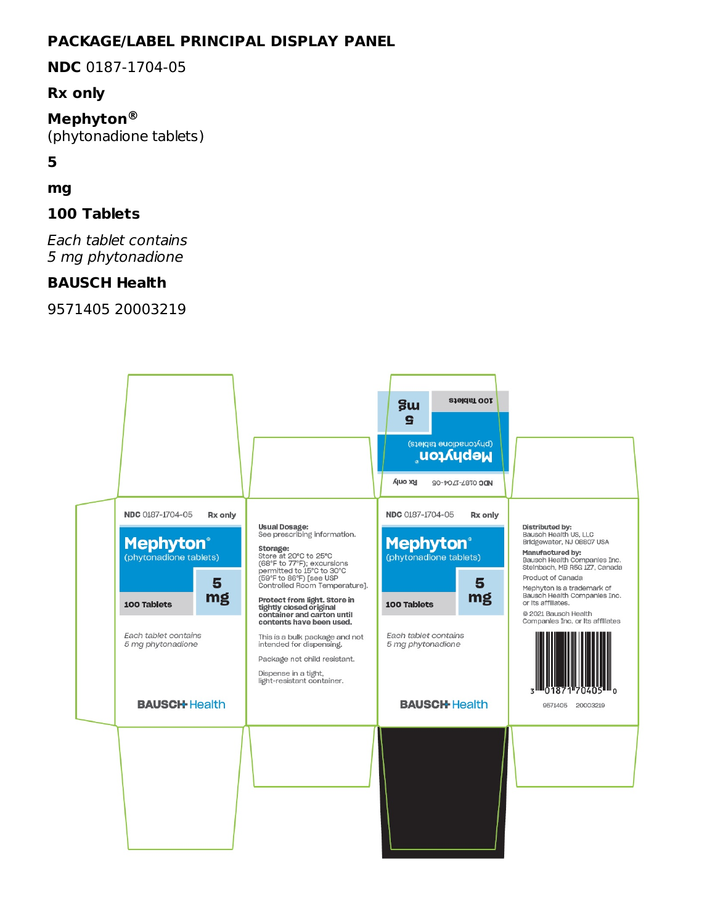### **PACKAGE/LABEL PRINCIPAL DISPLAY PANEL**

**NDC** 0187-1704-05

#### **Rx only**

**Mephyton ®**(phytonadione tablets)

**5**

#### **mg**

#### **100 Tablets**

Each tablet contains 5 mg phytonadione

#### **BAUSCH Health**

9571405 20003219

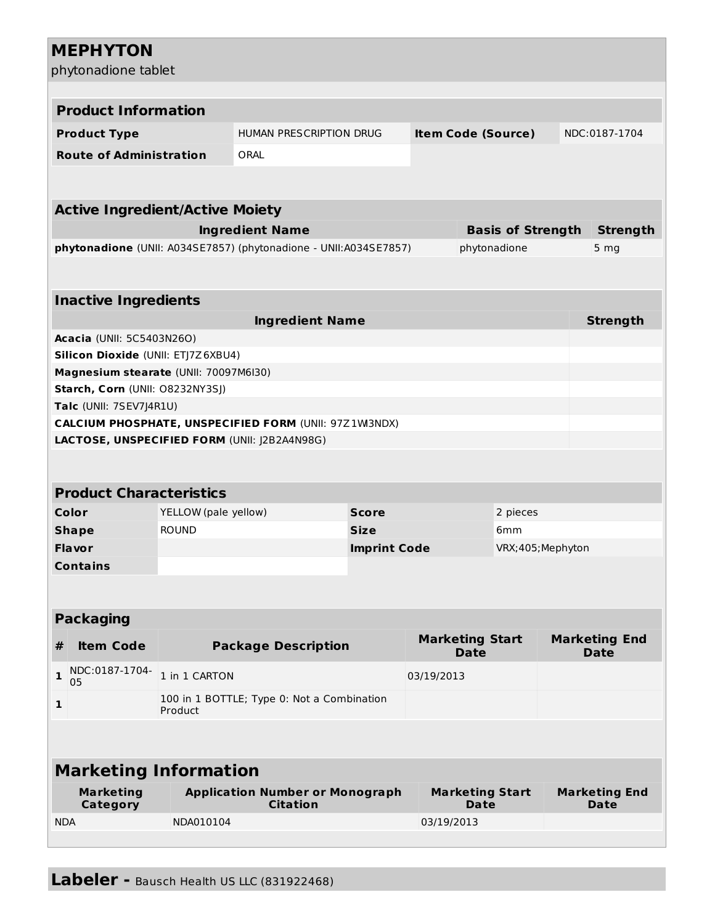#### **MEPHYTON** phytonadione tablet **Product Information Product Type** HUMAN PRESCRIPTION DRUG **Item Code (Source)** NDC:0187-1704 **Route of Administration** ORAL **Active Ingredient/Active Moiety Ingredient Name Basis of Strength Strength phytonadione** (UNII: A034SE7857) (phytonadione - UNII:A034SE7857) phytonadione 5 mg **Inactive Ingredients Ingredient Name Strength Acacia** (UNII: 5C5403N26O) **Silicon Dioxide** (UNII: ETJ7Z6XBU4) **Magnesium stearate** (UNII: 70097M6I30) **Starch, Corn** (UNII: O8232NY3SJ) **Talc** (UNII: 7SEV7J4R1U) **CALCIUM PHOSPHATE, UNSPECIFIED FORM** (UNII: 97Z1WI3NDX) **LACTOSE, UNSPECIFIED FORM** (UNII: J2B2A4N98G) **Product Characteristics Color** YELLOW (pale yellow) **Score** 2 pieces **Shape** ROUND **Size** 6mm **Flavor Imprint Code** VRX;405;Mephyton **Contains Packaging # Item Code Package Description Marketing Start Date Marketing End Date 1** NDC:0187-1704- 05 1 in 1 CARTON 03/19/2013 **1** 100 in 1 BOTTLE; Type 0: Not a Combination Product **Marketing Information Marketing Category Application Number or Monograph Citation Marketing Start Date Marketing End Date** NDA NDA010104 03/19/2013